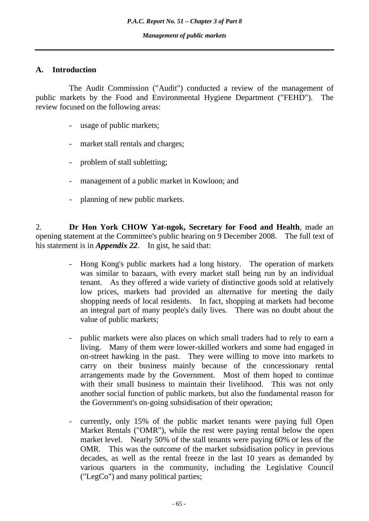#### **A. Introduction**

 The Audit Commission ("Audit") conducted a review of the management of public markets by the Food and Environmental Hygiene Department ("FEHD"). The review focused on the following areas:

- usage of public markets;
- market stall rentals and charges;
- problem of stall subletting;
- management of a public market in Kowloon; and
- planning of new public markets.

2. **Dr Hon York CHOW Yat-ngok, Secretary for Food and Health**, made an opening statement at the Committee's public hearing on 9 December 2008. The full text of his statement is in *Appendix 22*. In gist, he said that:

- Hong Kong's public markets had a long history. The operation of markets was similar to bazaars, with every market stall being run by an individual tenant. As they offered a wide variety of distinctive goods sold at relatively low prices, markets had provided an alternative for meeting the daily shopping needs of local residents. In fact, shopping at markets had become an integral part of many people's daily lives. There was no doubt about the value of public markets;
- public markets were also places on which small traders had to rely to earn a living. Many of them were lower-skilled workers and some had engaged in on-street hawking in the past. They were willing to move into markets to carry on their business mainly because of the concessionary rental arrangements made by the Government. Most of them hoped to continue with their small business to maintain their livelihood. This was not only another social function of public markets, but also the fundamental reason for the Government's on-going subsidisation of their operation;
- currently, only 15% of the public market tenants were paying full Open Market Rentals ("OMR"), while the rest were paying rental below the open market level. Nearly 50% of the stall tenants were paying 60% or less of the OMR. This was the outcome of the market subsidisation policy in previous decades, as well as the rental freeze in the last 10 years as demanded by various quarters in the community, including the Legislative Council ("LegCo") and many political parties;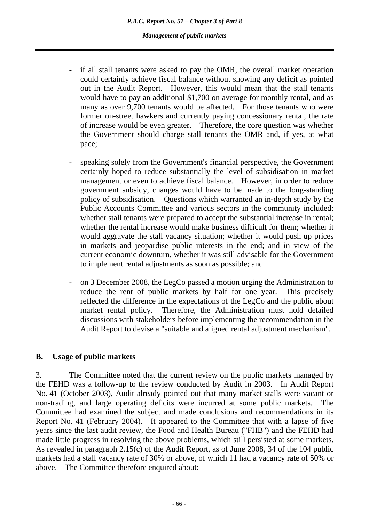*P.A.C. Report No. 51 – Chapter 3 of Part 8 Management of public markets* 

- if all stall tenants were asked to pay the OMR, the overall market operation could certainly achieve fiscal balance without showing any deficit as pointed out in the Audit Report. However, this would mean that the stall tenants would have to pay an additional \$1,700 on average for monthly rental, and as many as over 9,700 tenants would be affected. For those tenants who were former on-street hawkers and currently paying concessionary rental, the rate of increase would be even greater. Therefore, the core question was whether the Government should charge stall tenants the OMR and, if yes, at what pace;
- speaking solely from the Government's financial perspective, the Government certainly hoped to reduce substantially the level of subsidisation in market management or even to achieve fiscal balance. However, in order to reduce government subsidy, changes would have to be made to the long-standing policy of subsidisation. Questions which warranted an in-depth study by the Public Accounts Committee and various sectors in the community included: whether stall tenants were prepared to accept the substantial increase in rental; whether the rental increase would make business difficult for them; whether it would aggravate the stall vacancy situation; whether it would push up prices in markets and jeopardise public interests in the end; and in view of the current economic downturn, whether it was still advisable for the Government to implement rental adjustments as soon as possible; and
- on 3 December 2008, the LegCo passed a motion urging the Administration to reduce the rent of public markets by half for one year. This precisely reflected the difference in the expectations of the LegCo and the public about market rental policy. Therefore, the Administration must hold detailed discussions with stakeholders before implementing the recommendation in the Audit Report to devise a "suitable and aligned rental adjustment mechanism".

#### **B. Usage of public markets**

3. The Committee noted that the current review on the public markets managed by the FEHD was a follow-up to the review conducted by Audit in 2003. In Audit Report No. 41 (October 2003), Audit already pointed out that many market stalls were vacant or non-trading, and large operating deficits were incurred at some public markets. The Committee had examined the subject and made conclusions and recommendations in its Report No. 41 (February 2004). It appeared to the Committee that with a lapse of five years since the last audit review, the Food and Health Bureau ("FHB") and the FEHD had made little progress in resolving the above problems, which still persisted at some markets. As revealed in paragraph 2.15(c) of the Audit Report, as of June 2008, 34 of the 104 public markets had a stall vacancy rate of 30% or above, of which 11 had a vacancy rate of 50% or above. The Committee therefore enquired about: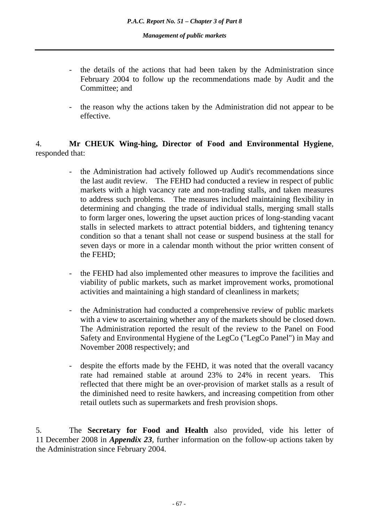- the details of the actions that had been taken by the Administration since February 2004 to follow up the recommendations made by Audit and the Committee; and
- the reason why the actions taken by the Administration did not appear to be effective.

# 4. **Mr CHEUK Wing-hing, Director of Food and Environmental Hygiene**, responded that:

- the Administration had actively followed up Audit's recommendations since the last audit review. The FEHD had conducted a review in respect of public markets with a high vacancy rate and non-trading stalls, and taken measures to address such problems. The measures included maintaining flexibility in determining and changing the trade of individual stalls, merging small stalls to form larger ones, lowering the upset auction prices of long-standing vacant stalls in selected markets to attract potential bidders, and tightening tenancy condition so that a tenant shall not cease or suspend business at the stall for seven days or more in a calendar month without the prior written consent of the FEHD;
- the FEHD had also implemented other measures to improve the facilities and viability of public markets, such as market improvement works, promotional activities and maintaining a high standard of cleanliness in markets;
- the Administration had conducted a comprehensive review of public markets with a view to ascertaining whether any of the markets should be closed down. The Administration reported the result of the review to the Panel on Food Safety and Environmental Hygiene of the LegCo ("LegCo Panel") in May and November 2008 respectively; and
- despite the efforts made by the FEHD, it was noted that the overall vacancy rate had remained stable at around 23% to 24% in recent years. This reflected that there might be an over-provision of market stalls as a result of the diminished need to resite hawkers, and increasing competition from other retail outlets such as supermarkets and fresh provision shops.

5. The **Secretary for Food and Health** also provided, vide his letter of 11 December 2008 in *Appendix 23*, further information on the follow-up actions taken by the Administration since February 2004.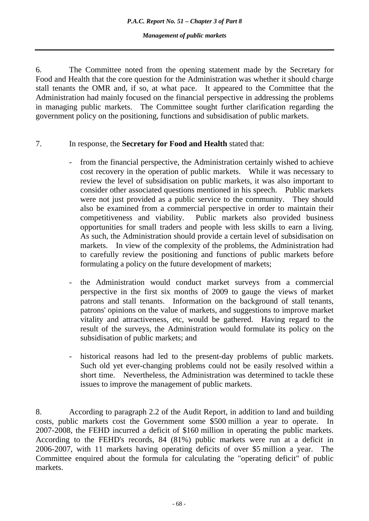*P.A.C. Report No. 51 – Chapter 3 of Part 8* 

*Management of public markets* 

6. The Committee noted from the opening statement made by the Secretary for Food and Health that the core question for the Administration was whether it should charge stall tenants the OMR and, if so, at what pace. It appeared to the Committee that the Administration had mainly focused on the financial perspective in addressing the problems in managing public markets. The Committee sought further clarification regarding the government policy on the positioning, functions and subsidisation of public markets.

# 7. In response, the **Secretary for Food and Health** stated that:

- from the financial perspective, the Administration certainly wished to achieve cost recovery in the operation of public markets. While it was necessary to review the level of subsidisation on public markets, it was also important to consider other associated questions mentioned in his speech. Public markets were not just provided as a public service to the community. They should also be examined from a commercial perspective in order to maintain their competitiveness and viability. Public markets also provided business opportunities for small traders and people with less skills to earn a living. As such, the Administration should provide a certain level of subsidisation on markets. In view of the complexity of the problems, the Administration had to carefully review the positioning and functions of public markets before formulating a policy on the future development of markets;
- the Administration would conduct market surveys from a commercial perspective in the first six months of 2009 to gauge the views of market patrons and stall tenants. Information on the background of stall tenants, patrons' opinions on the value of markets, and suggestions to improve market vitality and attractiveness, etc, would be gathered. Having regard to the result of the surveys, the Administration would formulate its policy on the subsidisation of public markets; and
- historical reasons had led to the present-day problems of public markets. Such old yet ever-changing problems could not be easily resolved within a short time. Nevertheless, the Administration was determined to tackle these issues to improve the management of public markets.

<sup>8.</sup> According to paragraph 2.2 of the Audit Report, in addition to land and building costs, public markets cost the Government some \$500 million a year to operate. In 2007-2008, the FEHD incurred a deficit of \$160 million in operating the public markets. According to the FEHD's records, 84 (81%) public markets were run at a deficit in 2006-2007, with 11 markets having operating deficits of over \$5 million a year. The Committee enquired about the formula for calculating the "operating deficit" of public markets.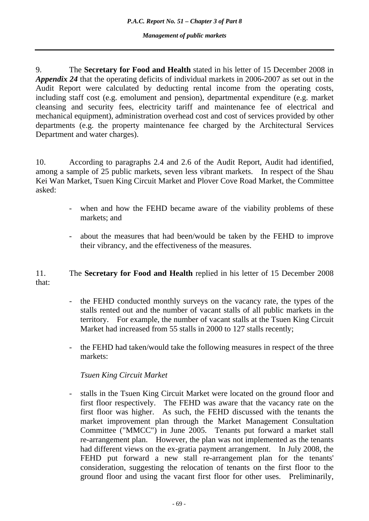9. The **Secretary for Food and Health** stated in his letter of 15 December 2008 in *Appendix 24* that the operating deficits of individual markets in 2006-2007 as set out in the Audit Report were calculated by deducting rental income from the operating costs, including staff cost (e.g. emolument and pension), departmental expenditure (e.g. market cleansing and security fees, electricity tariff and maintenance fee of electrical and mechanical equipment), administration overhead cost and cost of services provided by other departments (e.g. the property maintenance fee charged by the Architectural Services Department and water charges).

10. According to paragraphs 2.4 and 2.6 of the Audit Report, Audit had identified, among a sample of 25 public markets, seven less vibrant markets. In respect of the Shau Kei Wan Market, Tsuen King Circuit Market and Plover Cove Road Market, the Committee asked:

- when and how the FEHD became aware of the viability problems of these markets; and
- about the measures that had been/would be taken by the FEHD to improve their vibrancy, and the effectiveness of the measures.

# 11. The **Secretary for Food and Health** replied in his letter of 15 December 2008 that:

- the FEHD conducted monthly surveys on the vacancy rate, the types of the stalls rented out and the number of vacant stalls of all public markets in the territory. For example, the number of vacant stalls at the Tsuen King Circuit Market had increased from 55 stalls in 2000 to 127 stalls recently;
- the FEHD had taken/would take the following measures in respect of the three markets:

# *Tsuen King Circuit Market*

- stalls in the Tsuen King Circuit Market were located on the ground floor and first floor respectively. The FEHD was aware that the vacancy rate on the first floor was higher. As such, the FEHD discussed with the tenants the market improvement plan through the Market Management Consultation Committee ("MMCC") in June 2005. Tenants put forward a market stall re-arrangement plan. However, the plan was not implemented as the tenants had different views on the ex-gratia payment arrangement. In July 2008, the FEHD put forward a new stall re-arrangement plan for the tenants' consideration, suggesting the relocation of tenants on the first floor to the ground floor and using the vacant first floor for other uses. Preliminarily,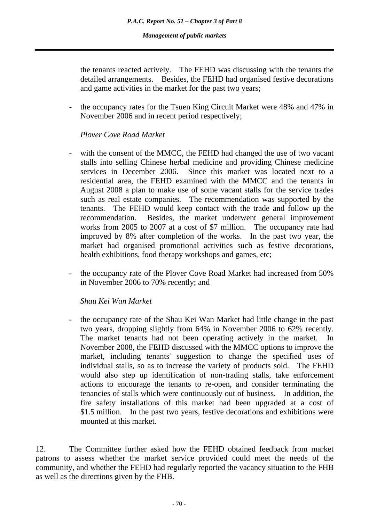the tenants reacted actively. The FEHD was discussing with the tenants the detailed arrangements. Besides, the FEHD had organised festive decorations and game activities in the market for the past two years;

the occupancy rates for the Tsuen King Circuit Market were 48% and 47% in November 2006 and in recent period respectively;

# *Plover Cove Road Market*

- with the consent of the MMCC, the FEHD had changed the use of two vacant stalls into selling Chinese herbal medicine and providing Chinese medicine services in December 2006. Since this market was located next to a residential area, the FEHD examined with the MMCC and the tenants in August 2008 a plan to make use of some vacant stalls for the service trades such as real estate companies. The recommendation was supported by the tenants. The FEHD would keep contact with the trade and follow up the recommendation. Besides, the market underwent general improvement works from 2005 to 2007 at a cost of \$7 million. The occupancy rate had improved by 8% after completion of the works. In the past two year, the market had organised promotional activities such as festive decorations, health exhibitions, food therapy workshops and games, etc;
- the occupancy rate of the Plover Cove Road Market had increased from 50% in November 2006 to 70% recently; and

*Shau Kei Wan Market* 

the occupancy rate of the Shau Kei Wan Market had little change in the past two years, dropping slightly from 64% in November 2006 to 62% recently. The market tenants had not been operating actively in the market. In November 2008, the FEHD discussed with the MMCC options to improve the market, including tenants' suggestion to change the specified uses of individual stalls, so as to increase the variety of products sold. The FEHD would also step up identification of non-trading stalls, take enforcement actions to encourage the tenants to re-open, and consider terminating the tenancies of stalls which were continuously out of business. In addition, the fire safety installations of this market had been upgraded at a cost of \$1.5 million. In the past two years, festive decorations and exhibitions were mounted at this market.

12. The Committee further asked how the FEHD obtained feedback from market patrons to assess whether the market service provided could meet the needs of the community, and whether the FEHD had regularly reported the vacancy situation to the FHB as well as the directions given by the FHB.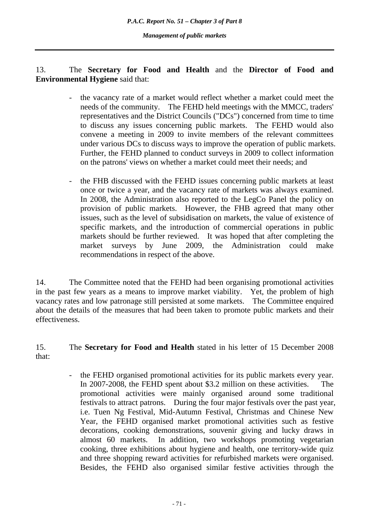# 13. The **Secretary for Food and Health** and the **Director of Food and Environmental Hygiene** said that:

- the vacancy rate of a market would reflect whether a market could meet the needs of the community. The FEHD held meetings with the MMCC, traders' representatives and the District Councils ("DCs") concerned from time to time to discuss any issues concerning public markets. The FEHD would also convene a meeting in 2009 to invite members of the relevant committees under various DCs to discuss ways to improve the operation of public markets. Further, the FEHD planned to conduct surveys in 2009 to collect information on the patrons' views on whether a market could meet their needs; and
- the FHB discussed with the FEHD issues concerning public markets at least once or twice a year, and the vacancy rate of markets was always examined. In 2008, the Administration also reported to the LegCo Panel the policy on provision of public markets. However, the FHB agreed that many other issues, such as the level of subsidisation on markets, the value of existence of specific markets, and the introduction of commercial operations in public markets should be further reviewed. It was hoped that after completing the market surveys by June 2009, the Administration could make recommendations in respect of the above.

14. The Committee noted that the FEHD had been organising promotional activities in the past few years as a means to improve market viability. Yet, the problem of high vacancy rates and low patronage still persisted at some markets. The Committee enquired about the details of the measures that had been taken to promote public markets and their effectiveness.

15. The **Secretary for Food and Health** stated in his letter of 15 December 2008 that:

> - the FEHD organised promotional activities for its public markets every year. In 2007-2008, the FEHD spent about \$3.2 million on these activities. The promotional activities were mainly organised around some traditional festivals to attract patrons. During the four major festivals over the past year, i.e. Tuen Ng Festival, Mid-Autumn Festival, Christmas and Chinese New Year, the FEHD organised market promotional activities such as festive decorations, cooking demonstrations, souvenir giving and lucky draws in almost 60 markets. In addition, two workshops promoting vegetarian cooking, three exhibitions about hygiene and health, one territory-wide quiz and three shopping reward activities for refurbished markets were organised. Besides, the FEHD also organised similar festive activities through the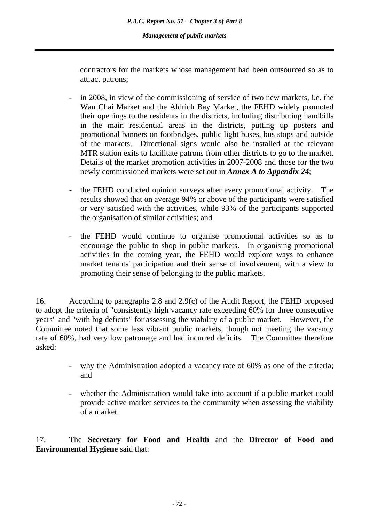contractors for the markets whose management had been outsourced so as to attract patrons;

- in 2008, in view of the commissioning of service of two new markets, i.e. the Wan Chai Market and the Aldrich Bay Market, the FEHD widely promoted their openings to the residents in the districts, including distributing handbills in the main residential areas in the districts, putting up posters and promotional banners on footbridges, public light buses, bus stops and outside of the markets. Directional signs would also be installed at the relevant MTR station exits to facilitate patrons from other districts to go to the market. Details of the market promotion activities in 2007-2008 and those for the two newly commissioned markets were set out in *Annex A to Appendix 24*;
- the FEHD conducted opinion surveys after every promotional activity. The results showed that on average 94% or above of the participants were satisfied or very satisfied with the activities, while 93% of the participants supported the organisation of similar activities; and
- the FEHD would continue to organise promotional activities so as to encourage the public to shop in public markets. In organising promotional activities in the coming year, the FEHD would explore ways to enhance market tenants' participation and their sense of involvement, with a view to promoting their sense of belonging to the public markets.

16. According to paragraphs 2.8 and 2.9(c) of the Audit Report, the FEHD proposed to adopt the criteria of "consistently high vacancy rate exceeding 60% for three consecutive years" and "with big deficits" for assessing the viability of a public market. However, the Committee noted that some less vibrant public markets, though not meeting the vacancy rate of 60%, had very low patronage and had incurred deficits. The Committee therefore asked:

- why the Administration adopted a vacancy rate of 60% as one of the criteria; and
- whether the Administration would take into account if a public market could provide active market services to the community when assessing the viability of a market.

17. The **Secretary for Food and Health** and the **Director of Food and Environmental Hygiene** said that: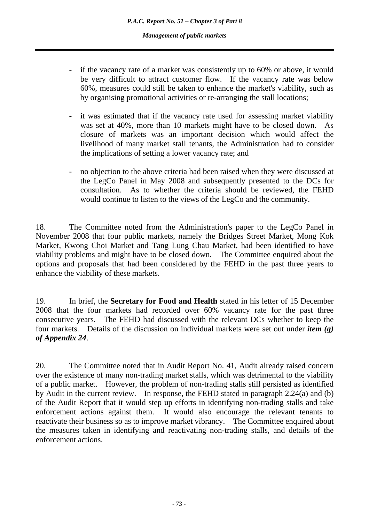- if the vacancy rate of a market was consistently up to 60% or above, it would be very difficult to attract customer flow. If the vacancy rate was below 60%, measures could still be taken to enhance the market's viability, such as by organising promotional activities or re-arranging the stall locations;
- it was estimated that if the vacancy rate used for assessing market viability was set at 40%, more than 10 markets might have to be closed down. As closure of markets was an important decision which would affect the livelihood of many market stall tenants, the Administration had to consider the implications of setting a lower vacancy rate; and
- no objection to the above criteria had been raised when they were discussed at the LegCo Panel in May 2008 and subsequently presented to the DCs for consultation. As to whether the criteria should be reviewed, the FEHD would continue to listen to the views of the LegCo and the community.

18. The Committee noted from the Administration's paper to the LegCo Panel in November 2008 that four public markets, namely the Bridges Street Market, Mong Kok Market, Kwong Choi Market and Tang Lung Chau Market, had been identified to have viability problems and might have to be closed down. The Committee enquired about the options and proposals that had been considered by the FEHD in the past three years to enhance the viability of these markets.

19. In brief, the **Secretary for Food and Health** stated in his letter of 15 December 2008 that the four markets had recorded over 60% vacancy rate for the past three consecutive years. The FEHD had discussed with the relevant DCs whether to keep the four markets. Details of the discussion on individual markets were set out under *item (g) of Appendix 24*.

20. The Committee noted that in Audit Report No. 41, Audit already raised concern over the existence of many non-trading market stalls, which was detrimental to the viability of a public market. However, the problem of non-trading stalls still persisted as identified by Audit in the current review. In response, the FEHD stated in paragraph 2.24(a) and (b) of the Audit Report that it would step up efforts in identifying non-trading stalls and take enforcement actions against them. It would also encourage the relevant tenants to reactivate their business so as to improve market vibrancy. The Committee enquired about the measures taken in identifying and reactivating non-trading stalls, and details of the enforcement actions.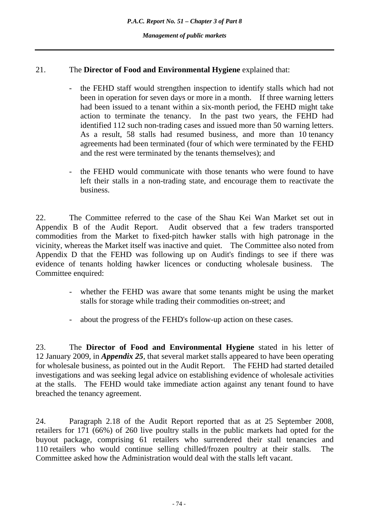# 21. The **Director of Food and Environmental Hygiene** explained that:

- the FEHD staff would strengthen inspection to identify stalls which had not been in operation for seven days or more in a month. If three warning letters had been issued to a tenant within a six-month period, the FEHD might take action to terminate the tenancy. In the past two years, the FEHD had identified 112 such non-trading cases and issued more than 50 warning letters. As a result, 58 stalls had resumed business, and more than 10 tenancy agreements had been terminated (four of which were terminated by the FEHD and the rest were terminated by the tenants themselves); and
- the FEHD would communicate with those tenants who were found to have left their stalls in a non-trading state, and encourage them to reactivate the business.

22. The Committee referred to the case of the Shau Kei Wan Market set out in Appendix B of the Audit Report. Audit observed that a few traders transported commodities from the Market to fixed-pitch hawker stalls with high patronage in the vicinity, whereas the Market itself was inactive and quiet. The Committee also noted from Appendix D that the FEHD was following up on Audit's findings to see if there was evidence of tenants holding hawker licences or conducting wholesale business. The Committee enquired:

- whether the FEHD was aware that some tenants might be using the market stalls for storage while trading their commodities on-street; and
- about the progress of the FEHD's follow-up action on these cases.

23. The **Director of Food and Environmental Hygiene** stated in his letter of 12 January 2009, in *Appendix 25*, that several market stalls appeared to have been operating for wholesale business, as pointed out in the Audit Report. The FEHD had started detailed investigations and was seeking legal advice on establishing evidence of wholesale activities at the stalls. The FEHD would take immediate action against any tenant found to have breached the tenancy agreement.

24. Paragraph 2.18 of the Audit Report reported that as at 25 September 2008, retailers for 171 (66%) of 260 live poultry stalls in the public markets had opted for the buyout package, comprising 61 retailers who surrendered their stall tenancies and 110 retailers who would continue selling chilled/frozen poultry at their stalls. The Committee asked how the Administration would deal with the stalls left vacant.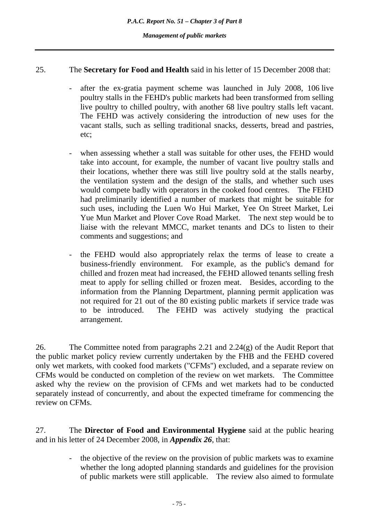#### 25. The **Secretary for Food and Health** said in his letter of 15 December 2008 that:

- after the ex-gratia payment scheme was launched in July 2008, 106 live poultry stalls in the FEHD's public markets had been transformed from selling live poultry to chilled poultry, with another 68 live poultry stalls left vacant. The FEHD was actively considering the introduction of new uses for the vacant stalls, such as selling traditional snacks, desserts, bread and pastries, etc;
- when assessing whether a stall was suitable for other uses, the FEHD would take into account, for example, the number of vacant live poultry stalls and their locations, whether there was still live poultry sold at the stalls nearby, the ventilation system and the design of the stalls, and whether such uses would compete badly with operators in the cooked food centres. The FEHD had preliminarily identified a number of markets that might be suitable for such uses, including the Luen Wo Hui Market, Yee On Street Market, Lei Yue Mun Market and Plover Cove Road Market. The next step would be to liaise with the relevant MMCC, market tenants and DCs to listen to their comments and suggestions; and
- the FEHD would also appropriately relax the terms of lease to create a business-friendly environment. For example, as the public's demand for chilled and frozen meat had increased, the FEHD allowed tenants selling fresh meat to apply for selling chilled or frozen meat. Besides, according to the information from the Planning Department, planning permit application was not required for 21 out of the 80 existing public markets if service trade was to be introduced. The FEHD was actively studying the practical arrangement.

26. The Committee noted from paragraphs 2.21 and 2.24(g) of the Audit Report that the public market policy review currently undertaken by the FHB and the FEHD covered only wet markets, with cooked food markets ("CFMs") excluded, and a separate review on CFMs would be conducted on completion of the review on wet markets. The Committee asked why the review on the provision of CFMs and wet markets had to be conducted separately instead of concurrently, and about the expected timeframe for commencing the review on CFMs.

27. The **Director of Food and Environmental Hygiene** said at the public hearing and in his letter of 24 December 2008, in *Appendix 26*, that:

> the objective of the review on the provision of public markets was to examine whether the long adopted planning standards and guidelines for the provision of public markets were still applicable. The review also aimed to formulate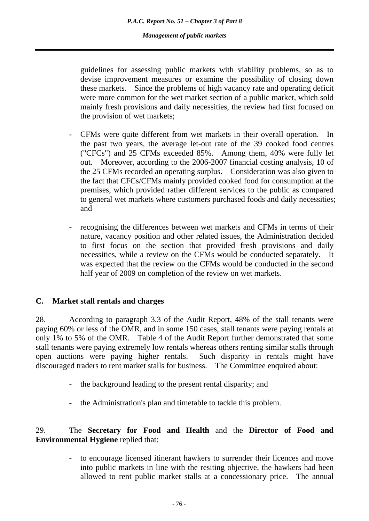guidelines for assessing public markets with viability problems, so as to devise improvement measures or examine the possibility of closing down these markets. Since the problems of high vacancy rate and operating deficit were more common for the wet market section of a public market, which sold mainly fresh provisions and daily necessities, the review had first focused on the provision of wet markets;

- CFMs were quite different from wet markets in their overall operation. In the past two years, the average let-out rate of the 39 cooked food centres ("CFCs") and 25 CFMs exceeded 85%. Among them, 40% were fully let out. Moreover, according to the 2006-2007 financial costing analysis, 10 of the 25 CFMs recorded an operating surplus. Consideration was also given to the fact that CFCs/CFMs mainly provided cooked food for consumption at the premises, which provided rather different services to the public as compared to general wet markets where customers purchased foods and daily necessities; and
- recognising the differences between wet markets and CFMs in terms of their nature, vacancy position and other related issues, the Administration decided to first focus on the section that provided fresh provisions and daily necessities, while a review on the CFMs would be conducted separately. It was expected that the review on the CFMs would be conducted in the second half year of 2009 on completion of the review on wet markets.

# **C. Market stall rentals and charges**

28. According to paragraph 3.3 of the Audit Report, 48% of the stall tenants were paying 60% or less of the OMR, and in some 150 cases, stall tenants were paying rentals at only 1% to 5% of the OMR. Table 4 of the Audit Report further demonstrated that some stall tenants were paying extremely low rentals whereas others renting similar stalls through open auctions were paying higher rentals. Such disparity in rentals might have discouraged traders to rent market stalls for business. The Committee enquired about:

- the background leading to the present rental disparity; and
- the Administration's plan and timetable to tackle this problem.

# 29. The **Secretary for Food and Health** and the **Director of Food and Environmental Hygiene** replied that:

to encourage licensed itinerant hawkers to surrender their licences and move into public markets in line with the resiting objective, the hawkers had been allowed to rent public market stalls at a concessionary price. The annual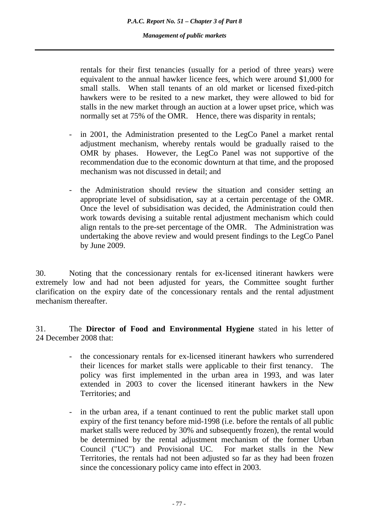rentals for their first tenancies (usually for a period of three years) were equivalent to the annual hawker licence fees, which were around \$1,000 for small stalls. When stall tenants of an old market or licensed fixed-pitch hawkers were to be resited to a new market, they were allowed to bid for stalls in the new market through an auction at a lower upset price, which was normally set at 75% of the OMR. Hence, there was disparity in rentals;

- in 2001, the Administration presented to the LegCo Panel a market rental adjustment mechanism, whereby rentals would be gradually raised to the OMR by phases. However, the LegCo Panel was not supportive of the recommendation due to the economic downturn at that time, and the proposed mechanism was not discussed in detail; and
- the Administration should review the situation and consider setting an appropriate level of subsidisation, say at a certain percentage of the OMR. Once the level of subsidisation was decided, the Administration could then work towards devising a suitable rental adjustment mechanism which could align rentals to the pre-set percentage of the OMR. The Administration was undertaking the above review and would present findings to the LegCo Panel by June 2009.

30. Noting that the concessionary rentals for ex-licensed itinerant hawkers were extremely low and had not been adjusted for years, the Committee sought further clarification on the expiry date of the concessionary rentals and the rental adjustment mechanism thereafter

31. The **Director of Food and Environmental Hygiene** stated in his letter of 24 December 2008 that:

- the concessionary rentals for ex-licensed itinerant hawkers who surrendered their licences for market stalls were applicable to their first tenancy. The policy was first implemented in the urban area in 1993, and was later extended in 2003 to cover the licensed itinerant hawkers in the New Territories; and
- in the urban area, if a tenant continued to rent the public market stall upon expiry of the first tenancy before mid-1998 (i.e. before the rentals of all public market stalls were reduced by 30% and subsequently frozen), the rental would be determined by the rental adjustment mechanism of the former Urban Council ("UC") and Provisional UC. For market stalls in the New Territories, the rentals had not been adjusted so far as they had been frozen since the concessionary policy came into effect in 2003.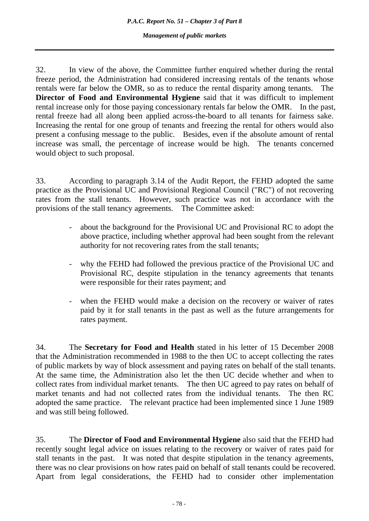32. In view of the above, the Committee further enquired whether during the rental freeze period, the Administration had considered increasing rentals of the tenants whose rentals were far below the OMR, so as to reduce the rental disparity among tenants. The **Director of Food and Environmental Hygiene** said that it was difficult to implement rental increase only for those paying concessionary rentals far below the OMR. In the past, rental freeze had all along been applied across-the-board to all tenants for fairness sake. Increasing the rental for one group of tenants and freezing the rental for others would also present a confusing message to the public. Besides, even if the absolute amount of rental increase was small, the percentage of increase would be high. The tenants concerned would object to such proposal.

33. According to paragraph 3.14 of the Audit Report, the FEHD adopted the same practice as the Provisional UC and Provisional Regional Council ("RC") of not recovering rates from the stall tenants. However, such practice was not in accordance with the provisions of the stall tenancy agreements. The Committee asked:

- about the background for the Provisional UC and Provisional RC to adopt the above practice, including whether approval had been sought from the relevant authority for not recovering rates from the stall tenants;
- why the FEHD had followed the previous practice of the Provisional UC and Provisional RC, despite stipulation in the tenancy agreements that tenants were responsible for their rates payment; and
- when the FEHD would make a decision on the recovery or waiver of rates paid by it for stall tenants in the past as well as the future arrangements for rates payment.

34. The **Secretary for Food and Health** stated in his letter of 15 December 2008 that the Administration recommended in 1988 to the then UC to accept collecting the rates of public markets by way of block assessment and paying rates on behalf of the stall tenants. At the same time, the Administration also let the then UC decide whether and when to collect rates from individual market tenants. The then UC agreed to pay rates on behalf of market tenants and had not collected rates from the individual tenants. The then RC adopted the same practice. The relevant practice had been implemented since 1 June 1989 and was still being followed.

35. The **Director of Food and Environmental Hygiene** also said that the FEHD had recently sought legal advice on issues relating to the recovery or waiver of rates paid for stall tenants in the past. It was noted that despite stipulation in the tenancy agreements, there was no clear provisions on how rates paid on behalf of stall tenants could be recovered. Apart from legal considerations, the FEHD had to consider other implementation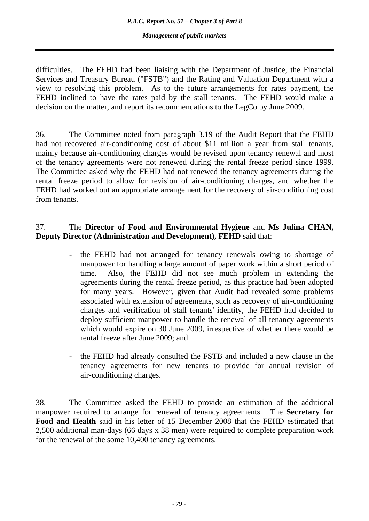difficulties. The FEHD had been liaising with the Department of Justice, the Financial Services and Treasury Bureau ("FSTB") and the Rating and Valuation Department with a view to resolving this problem. As to the future arrangements for rates payment, the FEHD inclined to have the rates paid by the stall tenants. The FEHD would make a decision on the matter, and report its recommendations to the LegCo by June 2009.

36. The Committee noted from paragraph 3.19 of the Audit Report that the FEHD had not recovered air-conditioning cost of about \$11 million a year from stall tenants, mainly because air-conditioning charges would be revised upon tenancy renewal and most of the tenancy agreements were not renewed during the rental freeze period since 1999. The Committee asked why the FEHD had not renewed the tenancy agreements during the rental freeze period to allow for revision of air-conditioning charges, and whether the FEHD had worked out an appropriate arrangement for the recovery of air-conditioning cost from tenants.

# 37. The **Director of Food and Environmental Hygiene** and **Ms Julina CHAN, Deputy Director (Administration and Development), FEHD** said that:

- the FEHD had not arranged for tenancy renewals owing to shortage of manpower for handling a large amount of paper work within a short period of time. Also, the FEHD did not see much problem in extending the agreements during the rental freeze period, as this practice had been adopted for many years. However, given that Audit had revealed some problems associated with extension of agreements, such as recovery of air-conditioning charges and verification of stall tenants' identity, the FEHD had decided to deploy sufficient manpower to handle the renewal of all tenancy agreements which would expire on 30 June 2009, irrespective of whether there would be rental freeze after June 2009; and
- the FEHD had already consulted the FSTB and included a new clause in the tenancy agreements for new tenants to provide for annual revision of air-conditioning charges.

38. The Committee asked the FEHD to provide an estimation of the additional manpower required to arrange for renewal of tenancy agreements. The **Secretary for Food and Health** said in his letter of 15 December 2008 that the FEHD estimated that 2,500 additional man-days (66 days x 38 men) were required to complete preparation work for the renewal of the some 10,400 tenancy agreements.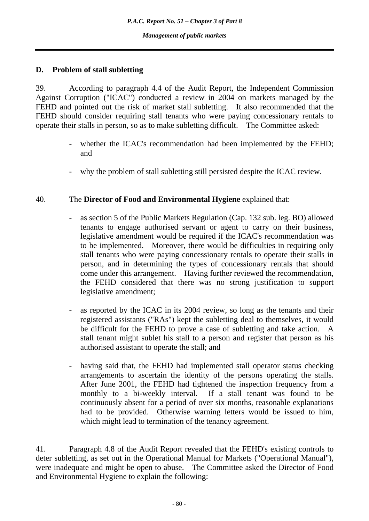# **D. Problem of stall subletting**

39. According to paragraph 4.4 of the Audit Report, the Independent Commission Against Corruption ("ICAC") conducted a review in 2004 on markets managed by the FEHD and pointed out the risk of market stall subletting. It also recommended that the FEHD should consider requiring stall tenants who were paying concessionary rentals to operate their stalls in person, so as to make subletting difficult. The Committee asked:

- whether the ICAC's recommendation had been implemented by the FEHD; and
- why the problem of stall subletting still persisted despite the ICAC review.

# 40. The **Director of Food and Environmental Hygiene** explained that:

- as section 5 of the Public Markets Regulation (Cap. 132 sub. leg. BO) allowed tenants to engage authorised servant or agent to carry on their business, legislative amendment would be required if the ICAC's recommendation was to be implemented. Moreover, there would be difficulties in requiring only stall tenants who were paying concessionary rentals to operate their stalls in person, and in determining the types of concessionary rentals that should come under this arrangement. Having further reviewed the recommendation, the FEHD considered that there was no strong justification to support legislative amendment;
- as reported by the ICAC in its 2004 review, so long as the tenants and their registered assistants ("RAs") kept the subletting deal to themselves, it would be difficult for the FEHD to prove a case of subletting and take action. A stall tenant might sublet his stall to a person and register that person as his authorised assistant to operate the stall; and
- having said that, the FEHD had implemented stall operator status checking arrangements to ascertain the identity of the persons operating the stalls. After June 2001, the FEHD had tightened the inspection frequency from a monthly to a bi-weekly interval. If a stall tenant was found to be continuously absent for a period of over six months, reasonable explanations had to be provided. Otherwise warning letters would be issued to him, which might lead to termination of the tenancy agreement.

41. Paragraph 4.8 of the Audit Report revealed that the FEHD's existing controls to deter subletting, as set out in the Operational Manual for Markets ("Operational Manual"), were inadequate and might be open to abuse. The Committee asked the Director of Food and Environmental Hygiene to explain the following: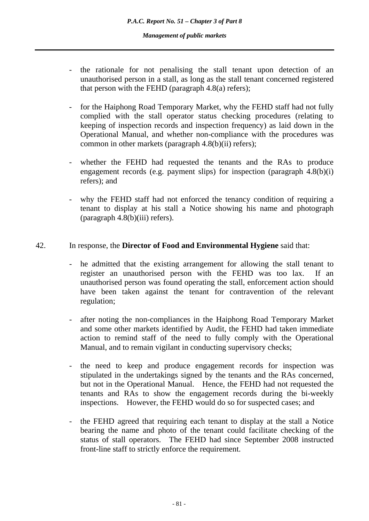- the rationale for not penalising the stall tenant upon detection of an unauthorised person in a stall, as long as the stall tenant concerned registered that person with the FEHD (paragraph  $4.8(a)$  refers);
- for the Haiphong Road Temporary Market, why the FEHD staff had not fully complied with the stall operator status checking procedures (relating to keeping of inspection records and inspection frequency) as laid down in the Operational Manual, and whether non-compliance with the procedures was common in other markets (paragraph 4.8(b)(ii) refers);
- whether the FEHD had requested the tenants and the RAs to produce engagement records (e.g. payment slips) for inspection (paragraph 4.8(b)(i) refers); and
- why the FEHD staff had not enforced the tenancy condition of requiring a tenant to display at his stall a Notice showing his name and photograph (paragraph 4.8(b)(iii) refers).

# 42. In response, the **Director of Food and Environmental Hygiene** said that:

- he admitted that the existing arrangement for allowing the stall tenant to register an unauthorised person with the FEHD was too lax. If an unauthorised person was found operating the stall, enforcement action should have been taken against the tenant for contravention of the relevant regulation;
- after noting the non-compliances in the Haiphong Road Temporary Market and some other markets identified by Audit, the FEHD had taken immediate action to remind staff of the need to fully comply with the Operational Manual, and to remain vigilant in conducting supervisory checks;
- the need to keep and produce engagement records for inspection was stipulated in the undertakings signed by the tenants and the RAs concerned, but not in the Operational Manual. Hence, the FEHD had not requested the tenants and RAs to show the engagement records during the bi-weekly inspections. However, the FEHD would do so for suspected cases; and
- the FEHD agreed that requiring each tenant to display at the stall a Notice bearing the name and photo of the tenant could facilitate checking of the status of stall operators. The FEHD had since September 2008 instructed front-line staff to strictly enforce the requirement.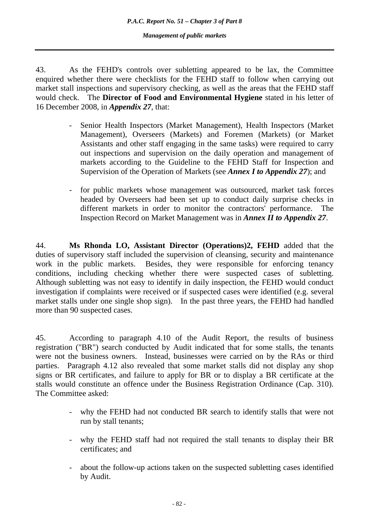*P.A.C. Report No. 51 – Chapter 3 of Part 8* 

*Management of public markets* 

43. As the FEHD's controls over subletting appeared to be lax, the Committee enquired whether there were checklists for the FEHD staff to follow when carrying out market stall inspections and supervisory checking, as well as the areas that the FEHD staff would check. The **Director of Food and Environmental Hygiene** stated in his letter of 16 December 2008, in *Appendix 27*, that:

- Senior Health Inspectors (Market Management), Health Inspectors (Market Management), Overseers (Markets) and Foremen (Markets) (or Market Assistants and other staff engaging in the same tasks) were required to carry out inspections and supervision on the daily operation and management of markets according to the Guideline to the FEHD Staff for Inspection and Supervision of the Operation of Markets (see *Annex I to Appendix 27*); and
- for public markets whose management was outsourced, market task forces headed by Overseers had been set up to conduct daily surprise checks in different markets in order to monitor the contractors' performance. The Inspection Record on Market Management was in *Annex II to Appendix 27*.

44. **Ms Rhonda LO, Assistant Director (Operations)2, FEHD** added that the duties of supervisory staff included the supervision of cleansing, security and maintenance work in the public markets. Besides, they were responsible for enforcing tenancy conditions, including checking whether there were suspected cases of subletting. Although subletting was not easy to identify in daily inspection, the FEHD would conduct investigation if complaints were received or if suspected cases were identified (e.g. several market stalls under one single shop sign). In the past three years, the FEHD had handled more than 90 suspected cases.

45. According to paragraph 4.10 of the Audit Report, the results of business registration ("BR") search conducted by Audit indicated that for some stalls, the tenants were not the business owners. Instead, businesses were carried on by the RAs or third parties. Paragraph 4.12 also revealed that some market stalls did not display any shop signs or BR certificates, and failure to apply for BR or to display a BR certificate at the stalls would constitute an offence under the Business Registration Ordinance (Cap. 310). The Committee asked:

- why the FEHD had not conducted BR search to identify stalls that were not run by stall tenants;
- why the FEHD staff had not required the stall tenants to display their BR certificates; and
- about the follow-up actions taken on the suspected subletting cases identified by Audit.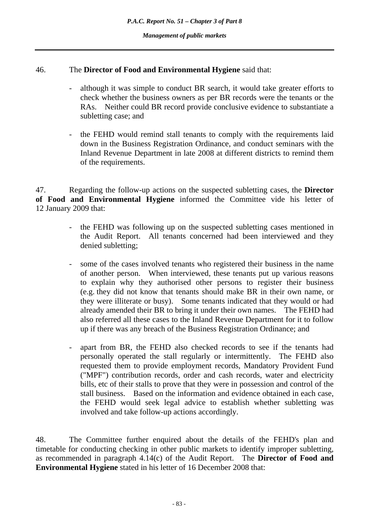# 46. The **Director of Food and Environmental Hygiene** said that:

- although it was simple to conduct BR search, it would take greater efforts to check whether the business owners as per BR records were the tenants or the RAs. Neither could BR record provide conclusive evidence to substantiate a subletting case; and
- the FEHD would remind stall tenants to comply with the requirements laid down in the Business Registration Ordinance, and conduct seminars with the Inland Revenue Department in late 2008 at different districts to remind them of the requirements.

47. Regarding the follow-up actions on the suspected subletting cases, the **Director of Food and Environmental Hygiene** informed the Committee vide his letter of 12 January 2009 that:

- the FEHD was following up on the suspected subletting cases mentioned in the Audit Report. All tenants concerned had been interviewed and they denied subletting;
- some of the cases involved tenants who registered their business in the name of another person. When interviewed, these tenants put up various reasons to explain why they authorised other persons to register their business (e.g. they did not know that tenants should make BR in their own name, or they were illiterate or busy). Some tenants indicated that they would or had already amended their BR to bring it under their own names. The FEHD had also referred all these cases to the Inland Revenue Department for it to follow up if there was any breach of the Business Registration Ordinance; and
- apart from BR, the FEHD also checked records to see if the tenants had personally operated the stall regularly or intermittently. The FEHD also requested them to provide employment records, Mandatory Provident Fund ("MPF") contribution records, order and cash records, water and electricity bills, etc of their stalls to prove that they were in possession and control of the stall business. Based on the information and evidence obtained in each case, the FEHD would seek legal advice to establish whether subletting was involved and take follow-up actions accordingly.

48. The Committee further enquired about the details of the FEHD's plan and timetable for conducting checking in other public markets to identify improper subletting, as recommended in paragraph 4.14(c) of the Audit Report. The **Director of Food and Environmental Hygiene** stated in his letter of 16 December 2008 that: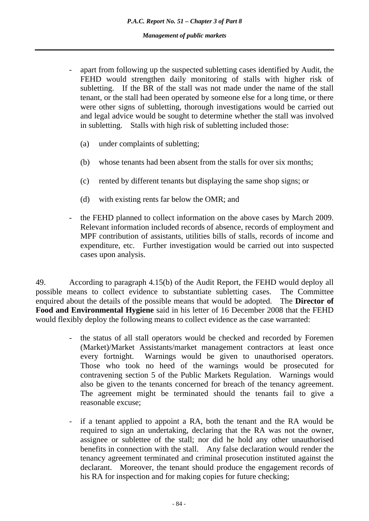- apart from following up the suspected subletting cases identified by Audit, the FEHD would strengthen daily monitoring of stalls with higher risk of subletting. If the BR of the stall was not made under the name of the stall tenant, or the stall had been operated by someone else for a long time, or there were other signs of subletting, thorough investigations would be carried out and legal advice would be sought to determine whether the stall was involved in subletting. Stalls with high risk of subletting included those:
	- (a) under complaints of subletting;
	- (b) whose tenants had been absent from the stalls for over six months;
	- (c) rented by different tenants but displaying the same shop signs; or
	- (d) with existing rents far below the OMR; and
- the FEHD planned to collect information on the above cases by March 2009. Relevant information included records of absence, records of employment and MPF contribution of assistants, utilities bills of stalls, records of income and expenditure, etc. Further investigation would be carried out into suspected cases upon analysis.

49. According to paragraph 4.15(b) of the Audit Report, the FEHD would deploy all possible means to collect evidence to substantiate subletting cases. The Committee enquired about the details of the possible means that would be adopted. The **Director of Food and Environmental Hygiene** said in his letter of 16 December 2008 that the FEHD would flexibly deploy the following means to collect evidence as the case warranted:

- the status of all stall operators would be checked and recorded by Foremen (Market)/Market Assistants/market management contractors at least once every fortnight. Warnings would be given to unauthorised operators. Those who took no heed of the warnings would be prosecuted for contravening section 5 of the Public Markets Regulation. Warnings would also be given to the tenants concerned for breach of the tenancy agreement. The agreement might be terminated should the tenants fail to give a reasonable excuse;
- if a tenant applied to appoint a RA, both the tenant and the RA would be required to sign an undertaking, declaring that the RA was not the owner, assignee or sublettee of the stall; nor did he hold any other unauthorised benefits in connection with the stall. Any false declaration would render the tenancy agreement terminated and criminal prosecution instituted against the declarant. Moreover, the tenant should produce the engagement records of his RA for inspection and for making copies for future checking;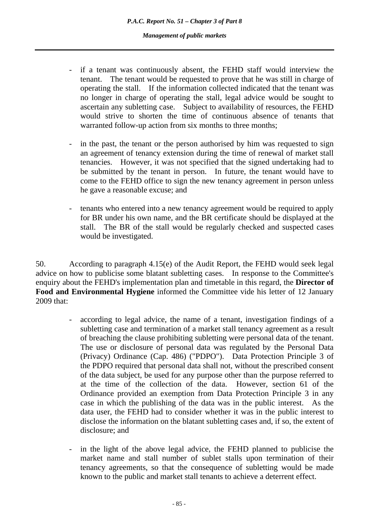- if a tenant was continuously absent, the FEHD staff would interview the tenant. The tenant would be requested to prove that he was still in charge of operating the stall. If the information collected indicated that the tenant was no longer in charge of operating the stall, legal advice would be sought to ascertain any subletting case. Subject to availability of resources, the FEHD would strive to shorten the time of continuous absence of tenants that warranted follow-up action from six months to three months;
- in the past, the tenant or the person authorised by him was requested to sign an agreement of tenancy extension during the time of renewal of market stall tenancies. However, it was not specified that the signed undertaking had to be submitted by the tenant in person. In future, the tenant would have to come to the FEHD office to sign the new tenancy agreement in person unless he gave a reasonable excuse; and
- tenants who entered into a new tenancy agreement would be required to apply for BR under his own name, and the BR certificate should be displayed at the stall. The BR of the stall would be regularly checked and suspected cases would be investigated.

50. According to paragraph 4.15(e) of the Audit Report, the FEHD would seek legal advice on how to publicise some blatant subletting cases. In response to the Committee's enquiry about the FEHD's implementation plan and timetable in this regard, the **Director of Food and Environmental Hygiene** informed the Committee vide his letter of 12 January 2009 that:

- according to legal advice, the name of a tenant, investigation findings of a subletting case and termination of a market stall tenancy agreement as a result of breaching the clause prohibiting subletting were personal data of the tenant. The use or disclosure of personal data was regulated by the Personal Data (Privacy) Ordinance (Cap. 486) ("PDPO"). Data Protection Principle 3 of the PDPO required that personal data shall not, without the prescribed consent of the data subject, be used for any purpose other than the purpose referred to at the time of the collection of the data. However, section 61 of the Ordinance provided an exemption from Data Protection Principle 3 in any case in which the publishing of the data was in the public interest. As the data user, the FEHD had to consider whether it was in the public interest to disclose the information on the blatant subletting cases and, if so, the extent of disclosure; and
- in the light of the above legal advice, the FEHD planned to publicise the market name and stall number of sublet stalls upon termination of their tenancy agreements, so that the consequence of subletting would be made known to the public and market stall tenants to achieve a deterrent effect.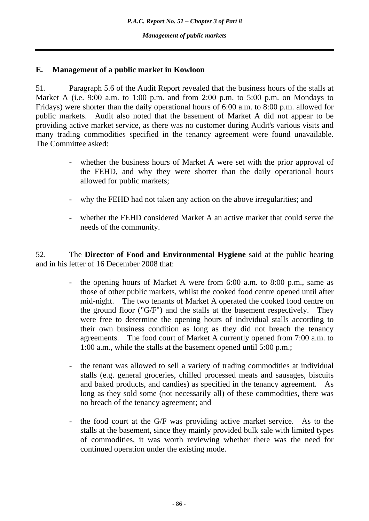### **E. Management of a public market in Kowloon**

51. Paragraph 5.6 of the Audit Report revealed that the business hours of the stalls at Market A (i.e. 9:00 a.m. to 1:00 p.m. and from 2:00 p.m. to 5:00 p.m. on Mondays to Fridays) were shorter than the daily operational hours of 6:00 a.m. to 8:00 p.m. allowed for public markets. Audit also noted that the basement of Market A did not appear to be providing active market service, as there was no customer during Audit's various visits and many trading commodities specified in the tenancy agreement were found unavailable. The Committee asked:

- whether the business hours of Market A were set with the prior approval of the FEHD, and why they were shorter than the daily operational hours allowed for public markets;
- why the FEHD had not taken any action on the above irregularities; and
- whether the FEHD considered Market A an active market that could serve the needs of the community.

52. The **Director of Food and Environmental Hygiene** said at the public hearing and in his letter of 16 December 2008 that:

- the opening hours of Market A were from 6:00 a.m. to 8:00 p.m., same as those of other public markets, whilst the cooked food centre opened until after mid-night. The two tenants of Market A operated the cooked food centre on the ground floor ("G/F") and the stalls at the basement respectively. They were free to determine the opening hours of individual stalls according to their own business condition as long as they did not breach the tenancy agreements. The food court of Market A currently opened from 7:00 a.m. to 1:00 a.m., while the stalls at the basement opened until 5:00 p.m.;
- the tenant was allowed to sell a variety of trading commodities at individual stalls (e.g. general groceries, chilled processed meats and sausages, biscuits and baked products, and candies) as specified in the tenancy agreement. As long as they sold some (not necessarily all) of these commodities, there was no breach of the tenancy agreement; and
- the food court at the G/F was providing active market service. As to the stalls at the basement, since they mainly provided bulk sale with limited types of commodities, it was worth reviewing whether there was the need for continued operation under the existing mode.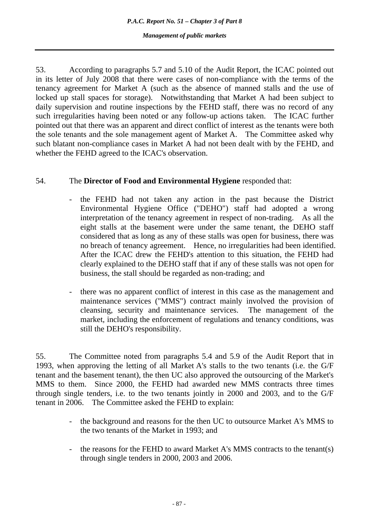53. According to paragraphs 5.7 and 5.10 of the Audit Report, the ICAC pointed out in its letter of July 2008 that there were cases of non-compliance with the terms of the tenancy agreement for Market A (such as the absence of manned stalls and the use of locked up stall spaces for storage). Notwithstanding that Market A had been subject to daily supervision and routine inspections by the FEHD staff, there was no record of any such irregularities having been noted or any follow-up actions taken. The ICAC further pointed out that there was an apparent and direct conflict of interest as the tenants were both the sole tenants and the sole management agent of Market A. The Committee asked why such blatant non-compliance cases in Market A had not been dealt with by the FEHD, and whether the FEHD agreed to the ICAC's observation.

# 54. The **Director of Food and Environmental Hygiene** responded that:

- the FEHD had not taken any action in the past because the District Environmental Hygiene Office ("DEHO") staff had adopted a wrong interpretation of the tenancy agreement in respect of non-trading. As all the eight stalls at the basement were under the same tenant, the DEHO staff considered that as long as any of these stalls was open for business, there was no breach of tenancy agreement. Hence, no irregularities had been identified. After the ICAC drew the FEHD's attention to this situation, the FEHD had clearly explained to the DEHO staff that if any of these stalls was not open for business, the stall should be regarded as non-trading; and
- there was no apparent conflict of interest in this case as the management and maintenance services ("MMS") contract mainly involved the provision of cleansing, security and maintenance services. The management of the market, including the enforcement of regulations and tenancy conditions, was still the DEHO's responsibility.

55. The Committee noted from paragraphs 5.4 and 5.9 of the Audit Report that in 1993, when approving the letting of all Market A's stalls to the two tenants (i.e. the G/F tenant and the basement tenant), the then UC also approved the outsourcing of the Market's MMS to them. Since 2000, the FEHD had awarded new MMS contracts three times through single tenders, i.e. to the two tenants jointly in 2000 and 2003, and to the G/F tenant in 2006. The Committee asked the FEHD to explain:

- the background and reasons for the then UC to outsource Market A's MMS to the two tenants of the Market in 1993; and
- the reasons for the FEHD to award Market A's MMS contracts to the tenant(s) through single tenders in 2000, 2003 and 2006.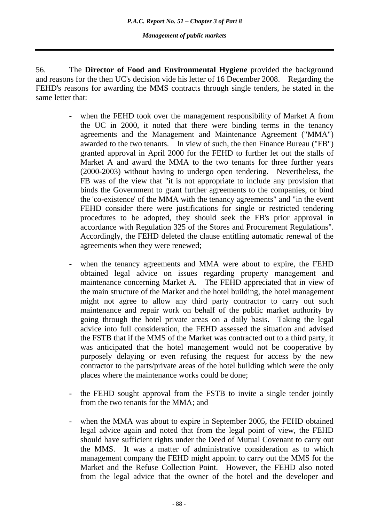56. The **Director of Food and Environmental Hygiene** provided the background and reasons for the then UC's decision vide his letter of 16 December 2008. Regarding the FEHD's reasons for awarding the MMS contracts through single tenders, he stated in the same letter that:

- when the FEHD took over the management responsibility of Market A from the UC in 2000, it noted that there were binding terms in the tenancy agreements and the Management and Maintenance Agreement ("MMA") awarded to the two tenants. In view of such, the then Finance Bureau ("FB") granted approval in April 2000 for the FEHD to further let out the stalls of Market A and award the MMA to the two tenants for three further years (2000-2003) without having to undergo open tendering. Nevertheless, the FB was of the view that "it is not appropriate to include any provision that binds the Government to grant further agreements to the companies, or bind the 'co-existence' of the MMA with the tenancy agreements" and "in the event FEHD consider there were justifications for single or restricted tendering procedures to be adopted, they should seek the FB's prior approval in accordance with Regulation 325 of the Stores and Procurement Regulations". Accordingly, the FEHD deleted the clause entitling automatic renewal of the agreements when they were renewed;
- when the tenancy agreements and MMA were about to expire, the FEHD obtained legal advice on issues regarding property management and maintenance concerning Market A. The FEHD appreciated that in view of the main structure of the Market and the hotel building, the hotel management might not agree to allow any third party contractor to carry out such maintenance and repair work on behalf of the public market authority by going through the hotel private areas on a daily basis. Taking the legal advice into full consideration, the FEHD assessed the situation and advised the FSTB that if the MMS of the Market was contracted out to a third party, it was anticipated that the hotel management would not be cooperative by purposely delaying or even refusing the request for access by the new contractor to the parts/private areas of the hotel building which were the only places where the maintenance works could be done;
- the FEHD sought approval from the FSTB to invite a single tender jointly from the two tenants for the MMA; and
- when the MMA was about to expire in September 2005, the FEHD obtained legal advice again and noted that from the legal point of view, the FEHD should have sufficient rights under the Deed of Mutual Covenant to carry out the MMS. It was a matter of administrative consideration as to which management company the FEHD might appoint to carry out the MMS for the Market and the Refuse Collection Point. However, the FEHD also noted from the legal advice that the owner of the hotel and the developer and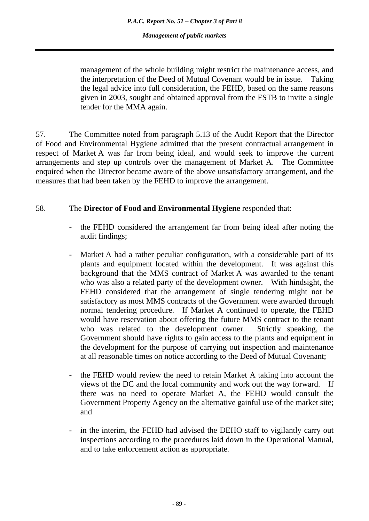management of the whole building might restrict the maintenance access, and the interpretation of the Deed of Mutual Covenant would be in issue. Taking the legal advice into full consideration, the FEHD, based on the same reasons given in 2003, sought and obtained approval from the FSTB to invite a single tender for the MMA again.

57. The Committee noted from paragraph 5.13 of the Audit Report that the Director of Food and Environmental Hygiene admitted that the present contractual arrangement in respect of Market A was far from being ideal, and would seek to improve the current arrangements and step up controls over the management of Market A. The Committee enquired when the Director became aware of the above unsatisfactory arrangement, and the measures that had been taken by the FEHD to improve the arrangement.

# 58. The **Director of Food and Environmental Hygiene** responded that:

- the FEHD considered the arrangement far from being ideal after noting the audit findings;
- Market A had a rather peculiar configuration, with a considerable part of its plants and equipment located within the development. It was against this background that the MMS contract of Market A was awarded to the tenant who was also a related party of the development owner. With hindsight, the FEHD considered that the arrangement of single tendering might not be satisfactory as most MMS contracts of the Government were awarded through normal tendering procedure. If Market A continued to operate, the FEHD would have reservation about offering the future MMS contract to the tenant who was related to the development owner. Strictly speaking, the Government should have rights to gain access to the plants and equipment in the development for the purpose of carrying out inspection and maintenance at all reasonable times on notice according to the Deed of Mutual Covenant;
- the FEHD would review the need to retain Market A taking into account the views of the DC and the local community and work out the way forward. If there was no need to operate Market A, the FEHD would consult the Government Property Agency on the alternative gainful use of the market site; and
- in the interim, the FEHD had advised the DEHO staff to vigilantly carry out inspections according to the procedures laid down in the Operational Manual, and to take enforcement action as appropriate.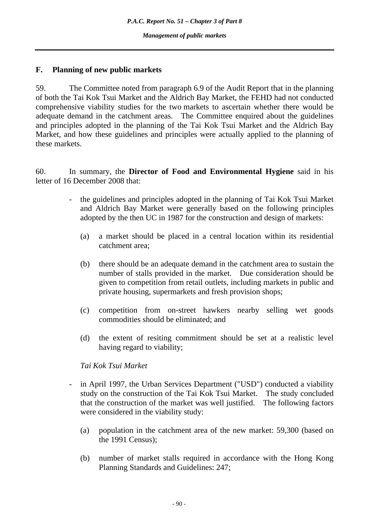# **F. Planning of new public markets**

59. The Committee noted from paragraph 6.9 of the Audit Report that in the planning of both the Tai Kok Tsui Market and the Aldrich Bay Market, the FEHD had not conducted comprehensive viability studies for the two markets to ascertain whether there would be adequate demand in the catchment areas. The Committee enquired about the guidelines and principles adopted in the planning of the Tai Kok Tsui Market and the Aldrich Bay Market, and how these guidelines and principles were actually applied to the planning of these markets.

60. In summary, the **Director of Food and Environmental Hygiene** said in his letter of 16 December 2008 that:

- the guidelines and principles adopted in the planning of Tai Kok Tsui Market and Aldrich Bay Market were generally based on the following principles adopted by the then UC in 1987 for the construction and design of markets:
	- (a) a market should be placed in a central location within its residential catchment area;
	- (b) there should be an adequate demand in the catchment area to sustain the number of stalls provided in the market. Due consideration should be given to competition from retail outlets, including markets in public and private housing, supermarkets and fresh provision shops;
	- (c) competition from on-street hawkers nearby selling wet goods commodities should be eliminated; and
	- (d) the extent of resiting commitment should be set at a realistic level having regard to viability;

#### *Tai Kok Tsui Market*

- in April 1997, the Urban Services Department ("USD") conducted a viability study on the construction of the Tai Kok Tsui Market. The study concluded that the construction of the market was well justified. The following factors were considered in the viability study:
	- (a) population in the catchment area of the new market: 59,300 (based on the 1991 Census);
	- (b) number of market stalls required in accordance with the Hong Kong Planning Standards and Guidelines: 247;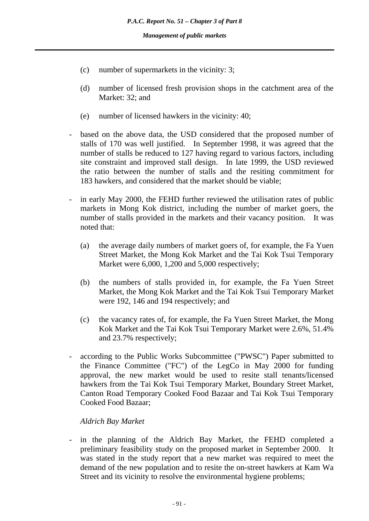- (c) number of supermarkets in the vicinity: 3;
- (d) number of licensed fresh provision shops in the catchment area of the Market: 32; and
- (e) number of licensed hawkers in the vicinity: 40;
- based on the above data, the USD considered that the proposed number of stalls of 170 was well justified. In September 1998, it was agreed that the number of stalls be reduced to 127 having regard to various factors, including site constraint and improved stall design. In late 1999, the USD reviewed the ratio between the number of stalls and the resiting commitment for 183 hawkers, and considered that the market should be viable;
- in early May 2000, the FEHD further reviewed the utilisation rates of public markets in Mong Kok district, including the number of market goers, the number of stalls provided in the markets and their vacancy position. It was noted that:
	- (a) the average daily numbers of market goers of, for example, the Fa Yuen Street Market, the Mong Kok Market and the Tai Kok Tsui Temporary Market were 6,000, 1,200 and 5,000 respectively;
	- (b) the numbers of stalls provided in, for example, the Fa Yuen Street Market, the Mong Kok Market and the Tai Kok Tsui Temporary Market were 192, 146 and 194 respectively; and
	- (c) the vacancy rates of, for example, the Fa Yuen Street Market, the Mong Kok Market and the Tai Kok Tsui Temporary Market were 2.6%, 51.4% and 23.7% respectively;
- according to the Public Works Subcommittee ("PWSC") Paper submitted to the Finance Committee ("FC") of the LegCo in May 2000 for funding approval, the new market would be used to resite stall tenants/licensed hawkers from the Tai Kok Tsui Temporary Market, Boundary Street Market, Canton Road Temporary Cooked Food Bazaar and Tai Kok Tsui Temporary Cooked Food Bazaar;

#### *Aldrich Bay Market*

in the planning of the Aldrich Bay Market, the FEHD completed a preliminary feasibility study on the proposed market in September 2000. It was stated in the study report that a new market was required to meet the demand of the new population and to resite the on-street hawkers at Kam Wa Street and its vicinity to resolve the environmental hygiene problems;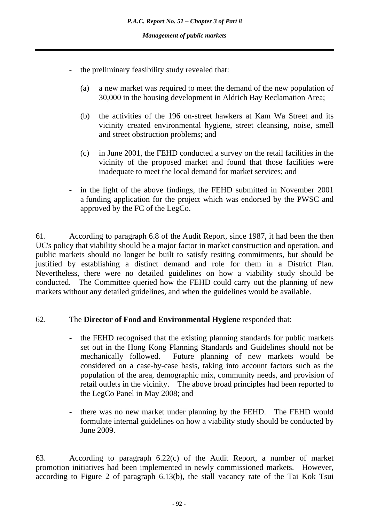- the preliminary feasibility study revealed that:
	- (a) a new market was required to meet the demand of the new population of 30,000 in the housing development in Aldrich Bay Reclamation Area;
	- (b) the activities of the 196 on-street hawkers at Kam Wa Street and its vicinity created environmental hygiene, street cleansing, noise, smell and street obstruction problems; and
	- (c) in June 2001, the FEHD conducted a survey on the retail facilities in the vicinity of the proposed market and found that those facilities were inadequate to meet the local demand for market services; and
- in the light of the above findings, the FEHD submitted in November 2001 a funding application for the project which was endorsed by the PWSC and approved by the FC of the LegCo.

61. According to paragraph 6.8 of the Audit Report, since 1987, it had been the then UC's policy that viability should be a major factor in market construction and operation, and public markets should no longer be built to satisfy resiting commitments, but should be justified by establishing a distinct demand and role for them in a District Plan. Nevertheless, there were no detailed guidelines on how a viability study should be conducted. The Committee queried how the FEHD could carry out the planning of new markets without any detailed guidelines, and when the guidelines would be available.

#### 62. The **Director of Food and Environmental Hygiene** responded that:

- the FEHD recognised that the existing planning standards for public markets set out in the Hong Kong Planning Standards and Guidelines should not be mechanically followed. Future planning of new markets would be considered on a case-by-case basis, taking into account factors such as the population of the area, demographic mix, community needs, and provision of retail outlets in the vicinity. The above broad principles had been reported to the LegCo Panel in May 2008; and
- there was no new market under planning by the FEHD. The FEHD would formulate internal guidelines on how a viability study should be conducted by June 2009.

63. According to paragraph 6.22(c) of the Audit Report, a number of market promotion initiatives had been implemented in newly commissioned markets. However, according to Figure 2 of paragraph 6.13(b), the stall vacancy rate of the Tai Kok Tsui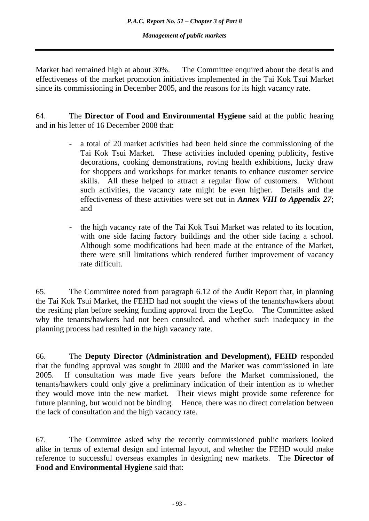Market had remained high at about 30%. The Committee enquired about the details and effectiveness of the market promotion initiatives implemented in the Tai Kok Tsui Market since its commissioning in December 2005, and the reasons for its high vacancy rate.

64. The **Director of Food and Environmental Hygiene** said at the public hearing and in his letter of 16 December 2008 that:

- a total of 20 market activities had been held since the commissioning of the Tai Kok Tsui Market. These activities included opening publicity, festive decorations, cooking demonstrations, roving health exhibitions, lucky draw for shoppers and workshops for market tenants to enhance customer service skills. All these helped to attract a regular flow of customers. Without such activities, the vacancy rate might be even higher. Details and the effectiveness of these activities were set out in *Annex VIII to Appendix 27*; and
- the high vacancy rate of the Tai Kok Tsui Market was related to its location, with one side facing factory buildings and the other side facing a school. Although some modifications had been made at the entrance of the Market, there were still limitations which rendered further improvement of vacancy rate difficult.

65. The Committee noted from paragraph 6.12 of the Audit Report that, in planning the Tai Kok Tsui Market, the FEHD had not sought the views of the tenants/hawkers about the resiting plan before seeking funding approval from the LegCo. The Committee asked why the tenants/hawkers had not been consulted, and whether such inadequacy in the planning process had resulted in the high vacancy rate.

66. The **Deputy Director (Administration and Development), FEHD** responded that the funding approval was sought in 2000 and the Market was commissioned in late 2005. If consultation was made five years before the Market commissioned, the tenants/hawkers could only give a preliminary indication of their intention as to whether they would move into the new market. Their views might provide some reference for future planning, but would not be binding. Hence, there was no direct correlation between the lack of consultation and the high vacancy rate.

67. The Committee asked why the recently commissioned public markets looked alike in terms of external design and internal layout, and whether the FEHD would make reference to successful overseas examples in designing new markets. The **Director of Food and Environmental Hygiene** said that: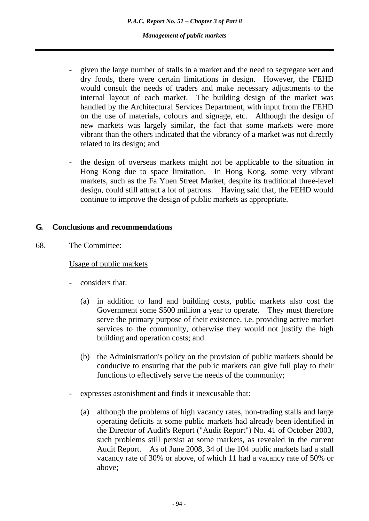- given the large number of stalls in a market and the need to segregate wet and dry foods, there were certain limitations in design. However, the FEHD would consult the needs of traders and make necessary adjustments to the internal layout of each market. The building design of the market was handled by the Architectural Services Department, with input from the FEHD on the use of materials, colours and signage, etc. Although the design of new markets was largely similar, the fact that some markets were more vibrant than the others indicated that the vibrancy of a market was not directly related to its design; and
- the design of overseas markets might not be applicable to the situation in Hong Kong due to space limitation. In Hong Kong, some very vibrant markets, such as the Fa Yuen Street Market, despite its traditional three-level design, could still attract a lot of patrons. Having said that, the FEHD would continue to improve the design of public markets as appropriate.

#### **G. Conclusions and recommendations**

68. The Committee:

#### Usage of public markets

- considers that:
	- (a) in addition to land and building costs, public markets also cost the Government some \$500 million a year to operate. They must therefore serve the primary purpose of their existence, i.e. providing active market services to the community, otherwise they would not justify the high building and operation costs; and
	- (b) the Administration's policy on the provision of public markets should be conducive to ensuring that the public markets can give full play to their functions to effectively serve the needs of the community;
- expresses astonishment and finds it inexcusable that:
	- (a) although the problems of high vacancy rates, non-trading stalls and large operating deficits at some public markets had already been identified in the Director of Audit's Report ("Audit Report") No. 41 of October 2003, such problems still persist at some markets, as revealed in the current Audit Report. As of June 2008, 34 of the 104 public markets had a stall vacancy rate of 30% or above, of which 11 had a vacancy rate of 50% or above;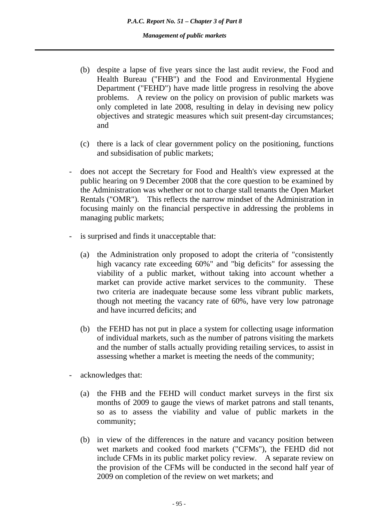- (b) despite a lapse of five years since the last audit review, the Food and Health Bureau ("FHB") and the Food and Environmental Hygiene Department ("FEHD") have made little progress in resolving the above problems. A review on the policy on provision of public markets was only completed in late 2008, resulting in delay in devising new policy objectives and strategic measures which suit present-day circumstances; and
- (c) there is a lack of clear government policy on the positioning, functions and subsidisation of public markets;
- does not accept the Secretary for Food and Health's view expressed at the public hearing on 9 December 2008 that the core question to be examined by the Administration was whether or not to charge stall tenants the Open Market Rentals ("OMR"). This reflects the narrow mindset of the Administration in focusing mainly on the financial perspective in addressing the problems in managing public markets;
- is surprised and finds it unacceptable that:
	- (a) the Administration only proposed to adopt the criteria of "consistently high vacancy rate exceeding 60%" and "big deficits" for assessing the viability of a public market, without taking into account whether a market can provide active market services to the community. These two criteria are inadequate because some less vibrant public markets, though not meeting the vacancy rate of 60%, have very low patronage and have incurred deficits; and
	- (b) the FEHD has not put in place a system for collecting usage information of individual markets, such as the number of patrons visiting the markets and the number of stalls actually providing retailing services, to assist in assessing whether a market is meeting the needs of the community;
- acknowledges that:
	- (a) the FHB and the FEHD will conduct market surveys in the first six months of 2009 to gauge the views of market patrons and stall tenants, so as to assess the viability and value of public markets in the community;
	- (b) in view of the differences in the nature and vacancy position between wet markets and cooked food markets ("CFMs"), the FEHD did not include CFMs in its public market policy review. A separate review on the provision of the CFMs will be conducted in the second half year of 2009 on completion of the review on wet markets; and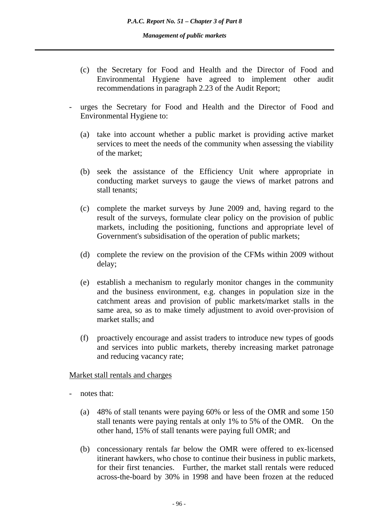- (c) the Secretary for Food and Health and the Director of Food and Environmental Hygiene have agreed to implement other audit recommendations in paragraph 2.23 of the Audit Report;
- urges the Secretary for Food and Health and the Director of Food and Environmental Hygiene to:
	- (a) take into account whether a public market is providing active market services to meet the needs of the community when assessing the viability of the market;
	- (b) seek the assistance of the Efficiency Unit where appropriate in conducting market surveys to gauge the views of market patrons and stall tenants;
	- (c) complete the market surveys by June 2009 and, having regard to the result of the surveys, formulate clear policy on the provision of public markets, including the positioning, functions and appropriate level of Government's subsidisation of the operation of public markets;
	- (d) complete the review on the provision of the CFMs within 2009 without delay;
	- (e) establish a mechanism to regularly monitor changes in the community and the business environment, e.g. changes in population size in the catchment areas and provision of public markets/market stalls in the same area, so as to make timely adjustment to avoid over-provision of market stalls; and
	- (f) proactively encourage and assist traders to introduce new types of goods and services into public markets, thereby increasing market patronage and reducing vacancy rate;

#### Market stall rentals and charges

- notes that:
	- (a) 48% of stall tenants were paying 60% or less of the OMR and some 150 stall tenants were paying rentals at only 1% to 5% of the OMR. On the other hand, 15% of stall tenants were paying full OMR; and
	- (b) concessionary rentals far below the OMR were offered to ex-licensed itinerant hawkers, who chose to continue their business in public markets, for their first tenancies. Further, the market stall rentals were reduced across-the-board by 30% in 1998 and have been frozen at the reduced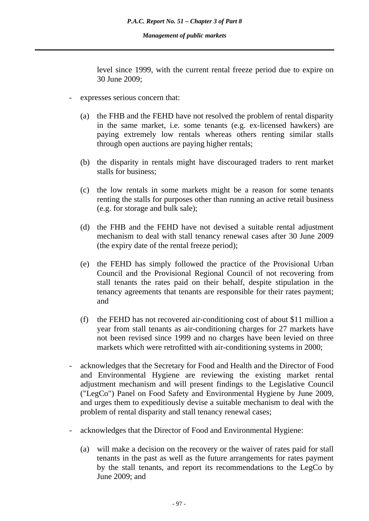level since 1999, with the current rental freeze period due to expire on 30 June 2009;

- expresses serious concern that:
	- (a) the FHB and the FEHD have not resolved the problem of rental disparity in the same market, i.e. some tenants (e.g. ex-licensed hawkers) are paying extremely low rentals whereas others renting similar stalls through open auctions are paying higher rentals;
	- (b) the disparity in rentals might have discouraged traders to rent market stalls for business;
	- (c) the low rentals in some markets might be a reason for some tenants renting the stalls for purposes other than running an active retail business (e.g. for storage and bulk sale);
	- (d) the FHB and the FEHD have not devised a suitable rental adjustment mechanism to deal with stall tenancy renewal cases after 30 June 2009 (the expiry date of the rental freeze period);
	- (e) the FEHD has simply followed the practice of the Provisional Urban Council and the Provisional Regional Council of not recovering from stall tenants the rates paid on their behalf, despite stipulation in the tenancy agreements that tenants are responsible for their rates payment; and
	- (f) the FEHD has not recovered air-conditioning cost of about \$11 million a year from stall tenants as air-conditioning charges for 27 markets have not been revised since 1999 and no charges have been levied on three markets which were retrofitted with air-conditioning systems in 2000;
- acknowledges that the Secretary for Food and Health and the Director of Food and Environmental Hygiene are reviewing the existing market rental adjustment mechanism and will present findings to the Legislative Council ("LegCo") Panel on Food Safety and Environmental Hygiene by June 2009, and urges them to expeditiously devise a suitable mechanism to deal with the problem of rental disparity and stall tenancy renewal cases;
- acknowledges that the Director of Food and Environmental Hygiene:
	- (a) will make a decision on the recovery or the waiver of rates paid for stall tenants in the past as well as the future arrangements for rates payment by the stall tenants, and report its recommendations to the LegCo by June 2009; and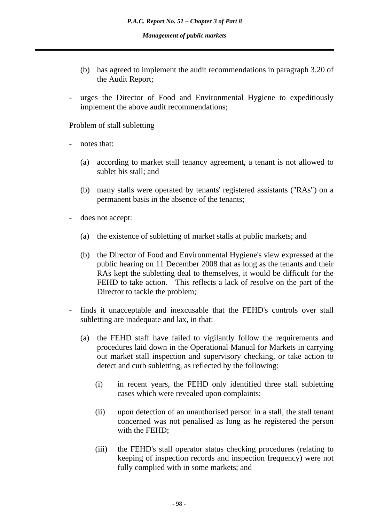- (b) has agreed to implement the audit recommendations in paragraph 3.20 of the Audit Report;
- urges the Director of Food and Environmental Hygiene to expeditiously implement the above audit recommendations;

#### Problem of stall subletting

- notes that:
	- (a) according to market stall tenancy agreement, a tenant is not allowed to sublet his stall; and
	- (b) many stalls were operated by tenants' registered assistants ("RAs") on a permanent basis in the absence of the tenants;
- does not accept:
	- (a) the existence of subletting of market stalls at public markets; and
	- (b) the Director of Food and Environmental Hygiene's view expressed at the public hearing on 11 December 2008 that as long as the tenants and their RAs kept the subletting deal to themselves, it would be difficult for the FEHD to take action. This reflects a lack of resolve on the part of the Director to tackle the problem;
- finds it unacceptable and inexcusable that the FEHD's controls over stall subletting are inadequate and lax, in that:
	- (a) the FEHD staff have failed to vigilantly follow the requirements and procedures laid down in the Operational Manual for Markets in carrying out market stall inspection and supervisory checking, or take action to detect and curb subletting, as reflected by the following:
		- (i) in recent years, the FEHD only identified three stall subletting cases which were revealed upon complaints;
		- (ii) upon detection of an unauthorised person in a stall, the stall tenant concerned was not penalised as long as he registered the person with the FEHD;
		- (iii) the FEHD's stall operator status checking procedures (relating to keeping of inspection records and inspection frequency) were not fully complied with in some markets; and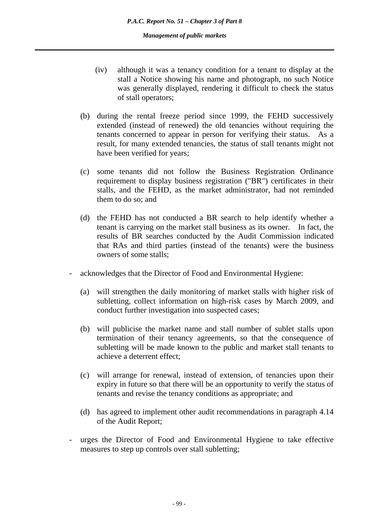- (iv) although it was a tenancy condition for a tenant to display at the stall a Notice showing his name and photograph, no such Notice was generally displayed, rendering it difficult to check the status of stall operators;
- (b) during the rental freeze period since 1999, the FEHD successively extended (instead of renewed) the old tenancies without requiring the tenants concerned to appear in person for verifying their status. As a result, for many extended tenancies, the status of stall tenants might not have been verified for years;
- (c) some tenants did not follow the Business Registration Ordinance requirement to display business registration ("BR") certificates in their stalls, and the FEHD, as the market administrator, had not reminded them to do so; and
- (d) the FEHD has not conducted a BR search to help identify whether a tenant is carrying on the market stall business as its owner. In fact, the results of BR searches conducted by the Audit Commission indicated that RAs and third parties (instead of the tenants) were the business owners of some stalls;
- acknowledges that the Director of Food and Environmental Hygiene:
	- (a) will strengthen the daily monitoring of market stalls with higher risk of subletting, collect information on high-risk cases by March 2009, and conduct further investigation into suspected cases;
	- (b) will publicise the market name and stall number of sublet stalls upon termination of their tenancy agreements, so that the consequence of subletting will be made known to the public and market stall tenants to achieve a deterrent effect;
	- (c) will arrange for renewal, instead of extension, of tenancies upon their expiry in future so that there will be an opportunity to verify the status of tenants and revise the tenancy conditions as appropriate; and
	- (d) has agreed to implement other audit recommendations in paragraph 4.14 of the Audit Report;
- urges the Director of Food and Environmental Hygiene to take effective measures to step up controls over stall subletting;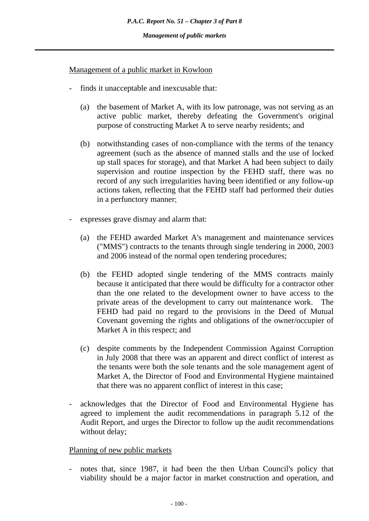### Management of a public market in Kowloon

- finds it unacceptable and inexcusable that:
	- (a) the basement of Market A, with its low patronage, was not serving as an active public market, thereby defeating the Government's original purpose of constructing Market A to serve nearby residents; and
	- (b) notwithstanding cases of non-compliance with the terms of the tenancy agreement (such as the absence of manned stalls and the use of locked up stall spaces for storage), and that Market A had been subject to daily supervision and routine inspection by the FEHD staff, there was no record of any such irregularities having been identified or any follow-up actions taken, reflecting that the FEHD staff had performed their duties in a perfunctory manner;
- expresses grave dismay and alarm that:
	- (a) the FEHD awarded Market A's management and maintenance services ("MMS") contracts to the tenants through single tendering in 2000, 2003 and 2006 instead of the normal open tendering procedures;
	- (b) the FEHD adopted single tendering of the MMS contracts mainly because it anticipated that there would be difficulty for a contractor other than the one related to the development owner to have access to the private areas of the development to carry out maintenance work. The FEHD had paid no regard to the provisions in the Deed of Mutual Covenant governing the rights and obligations of the owner/occupier of Market A in this respect; and
	- (c) despite comments by the Independent Commission Against Corruption in July 2008 that there was an apparent and direct conflict of interest as the tenants were both the sole tenants and the sole management agent of Market A, the Director of Food and Environmental Hygiene maintained that there was no apparent conflict of interest in this case;
- acknowledges that the Director of Food and Environmental Hygiene has agreed to implement the audit recommendations in paragraph 5.12 of the Audit Report, and urges the Director to follow up the audit recommendations without delay;

#### Planning of new public markets

notes that, since 1987, it had been the then Urban Council's policy that viability should be a major factor in market construction and operation, and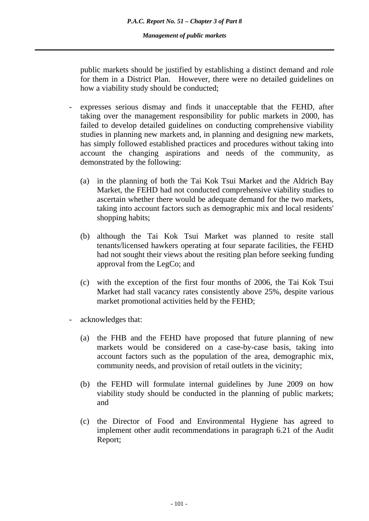public markets should be justified by establishing a distinct demand and role for them in a District Plan. However, there were no detailed guidelines on how a viability study should be conducted;

- expresses serious dismay and finds it unacceptable that the FEHD, after taking over the management responsibility for public markets in 2000, has failed to develop detailed guidelines on conducting comprehensive viability studies in planning new markets and, in planning and designing new markets, has simply followed established practices and procedures without taking into account the changing aspirations and needs of the community, as demonstrated by the following:
	- (a) in the planning of both the Tai Kok Tsui Market and the Aldrich Bay Market, the FEHD had not conducted comprehensive viability studies to ascertain whether there would be adequate demand for the two markets, taking into account factors such as demographic mix and local residents' shopping habits;
	- (b) although the Tai Kok Tsui Market was planned to resite stall tenants/licensed hawkers operating at four separate facilities, the FEHD had not sought their views about the resiting plan before seeking funding approval from the LegCo; and
	- (c) with the exception of the first four months of 2006, the Tai Kok Tsui Market had stall vacancy rates consistently above 25%, despite various market promotional activities held by the FEHD;
- acknowledges that:
	- (a) the FHB and the FEHD have proposed that future planning of new markets would be considered on a case-by-case basis, taking into account factors such as the population of the area, demographic mix, community needs, and provision of retail outlets in the vicinity;
	- (b) the FEHD will formulate internal guidelines by June 2009 on how viability study should be conducted in the planning of public markets; and
	- (c) the Director of Food and Environmental Hygiene has agreed to implement other audit recommendations in paragraph 6.21 of the Audit Report;